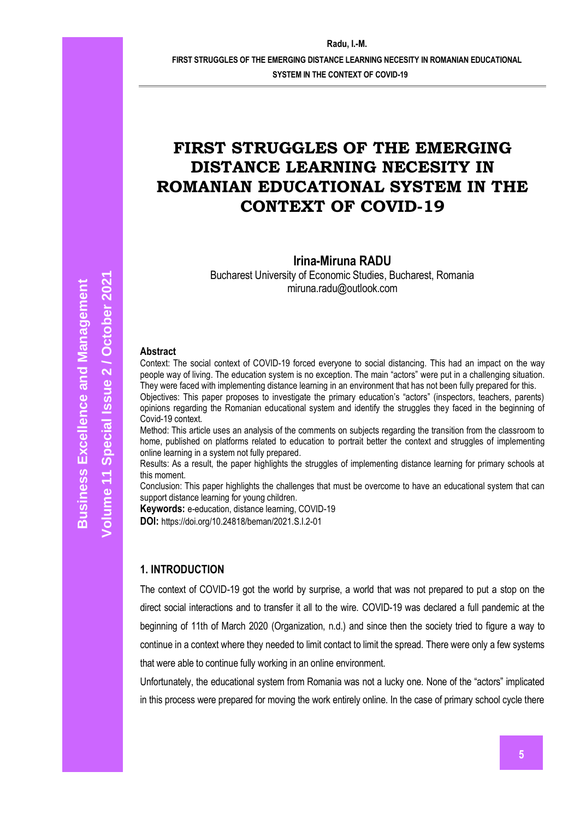**FIRST STRUGGLES OF THE EMERGING DISTANCE LEARNING NECESITY IN ROMANIAN EDUCATIONAL** 

**SYSTEM IN THE CONTEXT OF COVID-19**

# **FIRST STRUGGLES OF THE EMERGING DISTANCE LEARNING NECESITY IN ROMANIAN EDUCATIONAL SYSTEM IN THE CONTEXT OF COVID-19**

**Irina-Miruna RADU**

Bucharest University of Economic Studies, Bucharest, Romania miruna.radu@outlook.com

#### **Abstract**

Context: The social context of COVID-19 forced everyone to social distancing. This had an impact on the way people way of living. The education system is no exception. The main "actors" were put in a challenging situation. They were faced with implementing distance learning in an environment that has not been fully prepared for this.

Objectives: This paper proposes to investigate the primary education's "actors" (inspectors, teachers, parents) opinions regarding the Romanian educational system and identify the struggles they faced in the beginning of Covid-19 context.

Method: This article uses an analysis of the comments on subjects regarding the transition from the classroom to home, published on platforms related to education to portrait better the context and struggles of implementing online learning in a system not fully prepared.

Results: As a result, the paper highlights the struggles of implementing distance learning for primary schools at this moment.

Conclusion: This paper highlights the challenges that must be overcome to have an educational system that can support distance learning for young children.

**Keywords:** e-education, distance learning, COVID-19

**DOI:** https://doi.org/10.24818/beman/2021.S.I.2-01

#### **1. INTRODUCTION**

The context of COVID-19 got the world by surprise, a world that was not prepared to put a stop on the direct social interactions and to transfer it all to the wire. COVID-19 was declared a full pandemic at the beginning of 11th of March 2020 (Organization, n.d.) and since then the society tried to figure a way to continue in a context where they needed to limit contact to limit the spread. There were only a few systems that were able to continue fully working in an online environment.

Unfortunately, the educational system from Romania was not a lucky one. None of the "actors" implicated in this process were prepared for moving the work entirely online. In the case of primary school cycle there

**October**

**2021**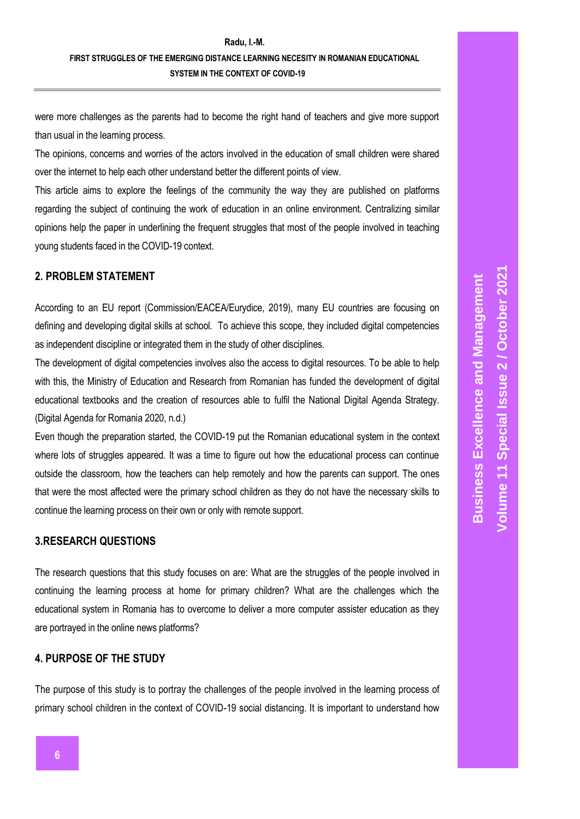# **Radu, I.-M. FIRST STRUGGLES OF THE EMERGING DISTANCE LEARNING NECESITY IN ROMANIAN EDUCATIONAL SYSTEM IN THE CONTEXT OF COVID-19**

were more challenges as the parents had to become the right hand of teachers and give more support than usual in the learning process.

The opinions, concerns and worries of the actors involved in the education of small children were shared over the internet to help each other understand better the different points of view.

This article aims to explore the feelings of the community the way they are published on platforms regarding the subject of continuing the work of education in an online environment. Centralizing similar opinions help the paper in underlining the frequent struggles that most of the people involved in teaching young students faced in the COVID-19 context.

## **2. PROBLEM STATEMENT**

According to an EU report (Commission/EACEA/Eurydice, 2019), many EU countries are focusing on defining and developing digital skills at school. To achieve this scope, they included digital competencies as independent discipline or integrated them in the study of other disciplines.

The development of digital competencies involves also the access to digital resources. To be able to help with this, the Ministry of Education and Research from Romanian has funded the development of digital educational textbooks and the creation of resources able to fulfil the National Digital Agenda Strategy. (Digital Agenda for Romania 2020, n.d.)

Even though the preparation started, the COVID-19 put the Romanian educational system in the context where lots of struggles appeared. It was a time to figure out how the educational process can continue outside the classroom, how the teachers can help remotely and how the parents can support. The ones that were the most affected were the primary school children as they do not have the necessary skills to continue the learning process on their own or only with remote support.

### **3.RESEARCH QUESTIONS**

The research questions that this study focuses on are: What are the struggles of the people involved in continuing the learning process at home for primary children? What are the challenges which the educational system in Romania has to overcome to deliver a more computer assister education as they are portrayed in the online news platforms?

### **4. PURPOSE OF THE STUDY**

The purpose of this study is to portray the challenges of the people involved in the learning process of primary school children in the context of COVID-19 social distancing. It is important to understand how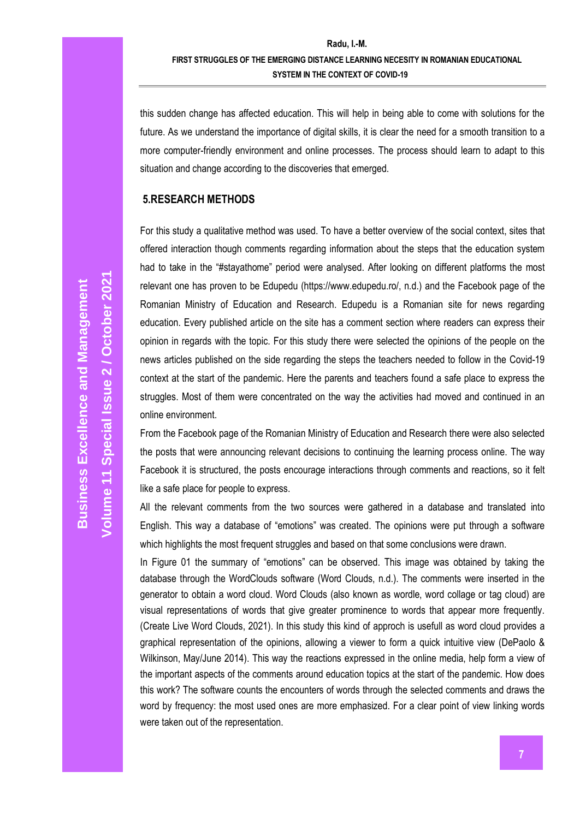this sudden change has affected education. This will help in being able to come with solutions for the future. As we understand the importance of digital skills, it is clear the need for a smooth transition to a more computer-friendly environment and online processes. The process should learn to adapt to this situation and change according to the discoveries that emerged.

#### **5.RESEARCH METHODS**

For this study a qualitative method was used. To have a better overview of the social context, sites that offered interaction though comments regarding information about the steps that the education system had to take in the "#stayathome" period were analysed. After looking on different platforms the most relevant one has proven to be Edupedu (https://www.edupedu.ro/, n.d.) and the Facebook page of the Romanian Ministry of Education and Research. Edupedu is a Romanian site for news regarding education. Every published article on the site has a comment section where readers can express their opinion in regards with the topic. For this study there were selected the opinions of the people on the news articles published on the side regarding the steps the teachers needed to follow in the Covid-19 context at the start of the pandemic. Here the parents and teachers found a safe place to express the struggles. Most of them were concentrated on the way the activities had moved and continued in an online environment.

From the Facebook page of the Romanian Ministry of Education and Research there were also selected the posts that were announcing relevant decisions to continuing the learning process online. The way Facebook it is structured, the posts encourage interactions through comments and reactions, so it felt like a safe place for people to express.

All the relevant comments from the two sources were gathered in a database and translated into English. This way a database of "emotions" was created. The opinions were put through a software which highlights the most frequent struggles and based on that some conclusions were drawn.

In Figure 01 the summary of "emotions" can be observed. This image was obtained by taking the database through the WordClouds software (Word Clouds, n.d.). The comments were inserted in the generator to obtain a word cloud. Word Clouds (also known as wordle, word collage or tag cloud) are visual representations of words that give greater prominence to words that appear more frequently. (Create Live Word Clouds, 2021). In this study this kind of approch is usefull as word cloud provides a graphical representation of the opinions, allowing a viewer to form a quick intuitive view (DePaolo & Wilkinson, May/June 2014). This way the reactions expressed in the online media, help form a view of the important aspects of the comments around education topics at the start of the pandemic. How does this work? The software counts the encounters of words through the selected comments and draws the word by frequency: the most used ones are more emphasized. For a clear point of view linking words were taken out of the representation.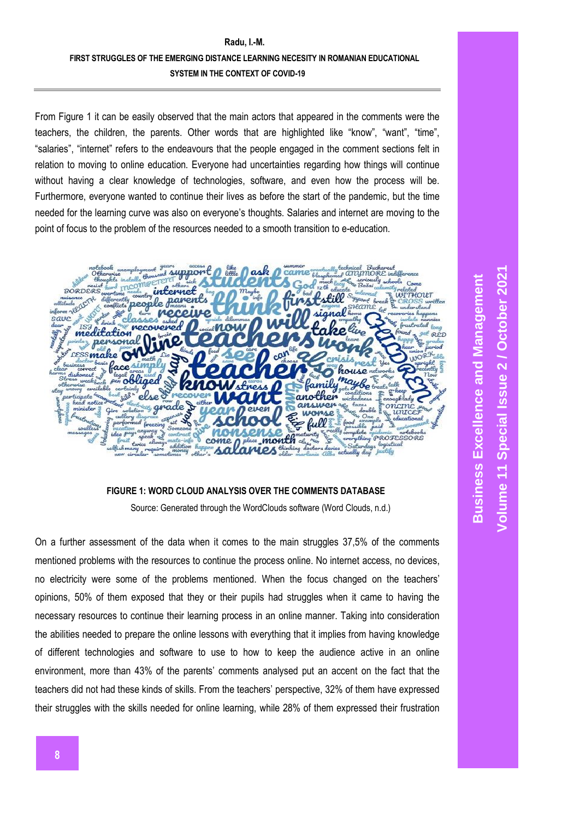# **Radu, I.-M. FIRST STRUGGLES OF THE EMERGING DISTANCE LEARNING NECESITY IN ROMANIAN EDUCATIONAL SYSTEM IN THE CONTEXT OF COVID-19**

From Figure 1 it can be easily observed that the main actors that appeared in the comments were the teachers, the children, the parents. Other words that are highlighted like "know", "want", "time", "salaries", "internet" refers to the endeavours that the people engaged in the comment sections felt in relation to moving to online education. Everyone had uncertainties regarding how things will continue without having a clear knowledge of technologies, software, and even how the process will be. Furthermore, everyone wanted to continue their lives as before the start of the pandemic, but the time needed for the learning curve was also on everyone's thoughts. Salaries and internet are moving to the point of focus to the problem of the resources needed to a smooth transition to e-education.



### **FIGURE 1: WORD CLOUD ANALYSIS OVER THE COMMENTS DATABASE**

Source: Generated through the WordClouds software (Word Clouds, n.d.)

On a further assessment of the data when it comes to the main struggles 37,5% of the comments mentioned problems with the resources to continue the process online. No internet access, no devices, no electricity were some of the problems mentioned. When the focus changed on the teachers' opinions, 50% of them exposed that they or their pupils had struggles when it came to having the necessary resources to continue their learning process in an online manner. Taking into consideration the abilities needed to prepare the online lessons with everything that it implies from having knowledge of different technologies and software to use to how to keep the audience active in an online environment, more than 43% of the parents' comments analysed put an accent on the fact that the teachers did not had these kinds of skills. From the teachers' perspective, 32% of them have expressed their struggles with the skills needed for online learning, while 28% of them expressed their frustration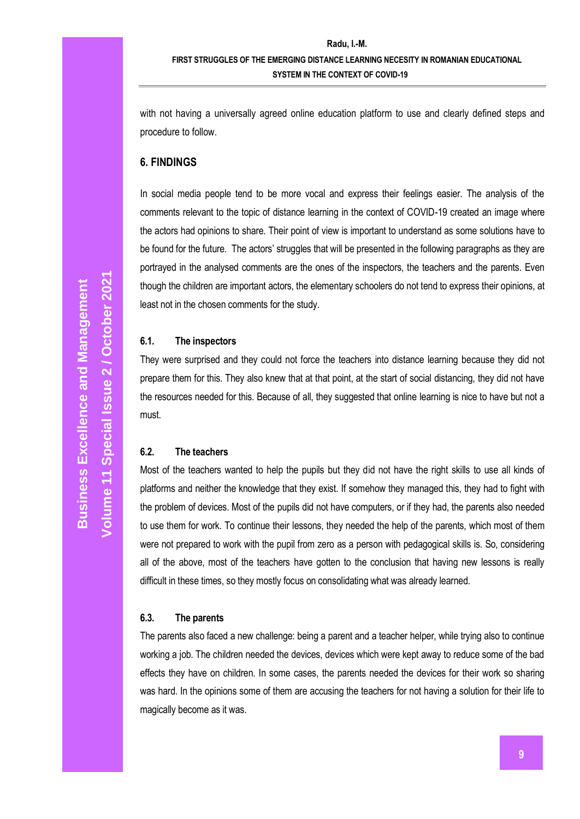with not having a universally agreed online education platform to use and clearly defined steps and procedure to follow.

#### **6. FINDINGS**

In social media people tend to be more vocal and express their feelings easier. The analysis of the comments relevant to the topic of distance learning in the context of COVID-19 created an image where the actors had opinions to share. Their point of view is important to understand as some solutions have to be found for the future. The actors' struggles that will be presented in the following paragraphs as they are portrayed in the analysed comments are the ones of the inspectors, the teachers and the parents. Even though the children are important actors, the elementary schoolers do not tend to express their opinions, at least not in the chosen comments for the study.

#### **6.1. The inspectors**

They were surprised and they could not force the teachers into distance learning because they did not prepare them for this. They also knew that at that point, at the start of social distancing, they did not have the resources needed for this. Because of all, they suggested that online learning is nice to have but not a must.

### **6.2. The teachers**

Most of the teachers wanted to help the pupils but they did not have the right skills to use all kinds of platforms and neither the knowledge that they exist. If somehow they managed this, they had to fight with the problem of devices. Most of the pupils did not have computers, or if they had, the parents also needed to use them for work. To continue their lessons, they needed the help of the parents, which most of them were not prepared to work with the pupil from zero as a person with pedagogical skills is. So, considering all of the above, most of the teachers have gotten to the conclusion that having new lessons is really difficult in these times, so they mostly focus on consolidating what was already learned.

#### **6.3. The parents**

The parents also faced a new challenge: being a parent and a teacher helper, while trying also to continue working a job. The children needed the devices, devices which were kept away to reduce some of the bad effects they have on children. In some cases, the parents needed the devices for their work so sharing was hard. In the opinions some of them are accusing the teachers for not having a solution for their life to magically become as it was.